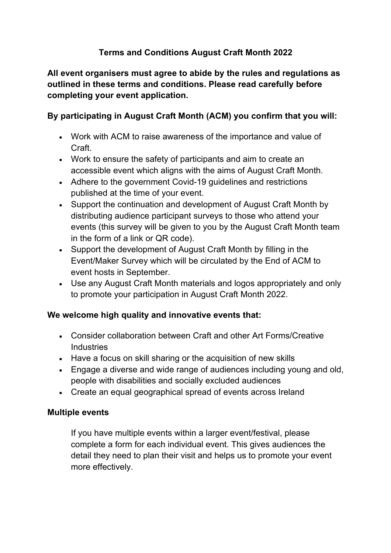# **Terms and Conditions August Craft Month 2022**

**All event organisers must agree to abide by the rules and regulations as outlined in these terms and conditions. Please read carefully before completing your event application.** 

## **By participating in August Craft Month (ACM) you confirm that you will:**

- Work with ACM to raise awareness of the importance and value of Craft.
- Work to ensure the safety of participants and aim to create an accessible event which aligns with the aims of August Craft Month.
- Adhere to the government Covid-19 guidelines and restrictions published at the time of your event.
- Support the continuation and development of August Craft Month by distributing audience participant surveys to those who attend your events (this survey will be given to you by the August Craft Month team in the form of a link or QR code).
- Support the development of August Craft Month by filling in the Event/Maker Survey which will be circulated by the End of ACM to event hosts in September.
- Use any August Craft Month materials and logos appropriately and only to promote your participation in August Craft Month 2022.

## **We welcome high quality and innovative events that:**

- Consider collaboration between Craft and other Art Forms/Creative **Industries**
- Have a focus on skill sharing or the acquisition of new skills
- Engage a diverse and wide range of audiences including young and old, people with disabilities and socially excluded audiences
- Create an equal geographical spread of events across Ireland

#### **Multiple events**

If you have multiple events within a larger event/festival, please complete a form for each individual event. This gives audiences the detail they need to plan their visit and helps us to promote your event more effectively.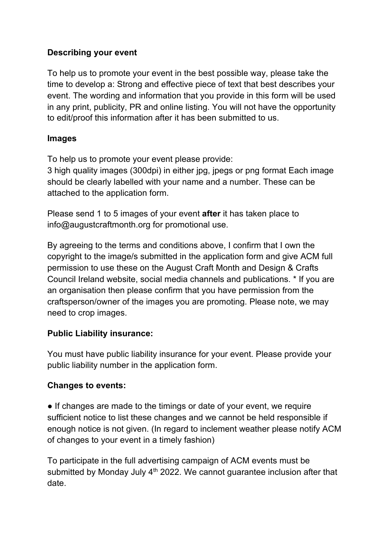### **Describing your event**

To help us to promote your event in the best possible way, please take the time to develop a: Strong and effective piece of text that best describes your event. The wording and information that you provide in this form will be used in any print, publicity, PR and online listing. You will not have the opportunity to edit/proof this information after it has been submitted to us.

#### **Images**

To help us to promote your event please provide:

3 high quality images (300dpi) in either jpg, jpegs or png format Each image should be clearly labelled with your name and a number. These can be attached to the application form.

Please send 1 to 5 images of your event **after** it has taken place to info@augustcraftmonth.org for promotional use.

By agreeing to the terms and conditions above, I confirm that I own the copyright to the image/s submitted in the application form and give ACM full permission to use these on the August Craft Month and Design & Crafts Council Ireland website, social media channels and publications. \* If you are an organisation then please confirm that you have permission from the craftsperson/owner of the images you are promoting. Please note, we may need to crop images.

## **Public Liability insurance:**

You must have public liability insurance for your event. Please provide your public liability number in the application form.

## **Changes to events:**

• If changes are made to the timings or date of your event, we require sufficient notice to list these changes and we cannot be held responsible if enough notice is not given. (In regard to inclement weather please notify ACM of changes to your event in a timely fashion)

To participate in the full advertising campaign of ACM events must be submitted by Monday July  $4<sup>th</sup>$  2022. We cannot guarantee inclusion after that date.